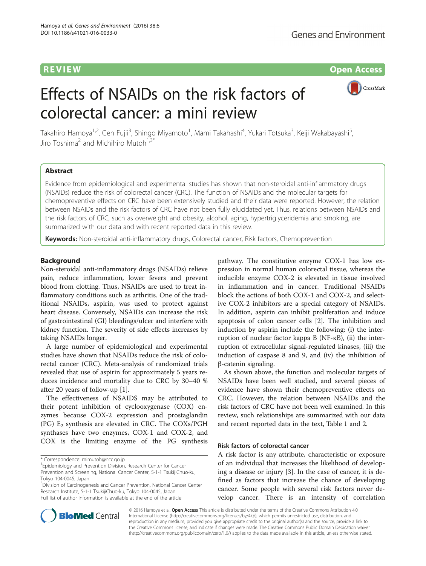REVIEW Open Access

# Effects of NSAIDs on the risk factors of colorectal cancer: a mini review



Takahiro Hamoya<sup>1,2</sup>, Gen Fujii<sup>3</sup>, Shingo Miyamoto<sup>1</sup>, Mami Takahashi<sup>4</sup>, Yukari Totsuka<sup>3</sup>, Keiji Wakabayashi<sup>5</sup> , Jiro Toshima<sup>2</sup> and Michihiro Mutoh<sup>1,3</sup>

# Abstract

Evidence from epidemiological and experimental studies has shown that non-steroidal anti-inflammatory drugs (NSAIDs) reduce the risk of colorectal cancer (CRC). The function of NSAIDs and the molecular targets for chemopreventive effects on CRC have been extensively studied and their data were reported. However, the relation between NSAIDs and the risk factors of CRC have not been fully elucidated yet. Thus, relations between NSAIDs and the risk factors of CRC, such as overweight and obesity, alcohol, aging, hypertriglyceridemia and smoking, are summarized with our data and with recent reported data in this review.

Keywords: Non-steroidal anti-inflammatory drugs, Colorectal cancer, Risk factors, Chemoprevention

# Background

Non-steroidal anti-inflammatory drugs (NSAIDs) relieve pain, reduce inflammation, lower fevers and prevent blood from clotting. Thus, NSAIDs are used to treat inflammatory conditions such as arthritis. One of the traditional NSAIDs, aspirin, was used to protect against heart disease. Conversely, NSAIDs can increase the risk of gastrointestinal (GI) bleedings/ulcer and interfere with kidney function. The severity of side effects increases by taking NSAIDs longer.

A large number of epidemiological and experimental studies have shown that NSAIDs reduce the risk of colorectal cancer (CRC). Meta-analysis of randomized trials revealed that use of aspirin for approximately 5 years reduces incidence and mortality due to CRC by 30–40 % after 20 years of follow-up [[1\]](#page-4-0).

The effectiveness of NSAIDS may be attributed to their potent inhibition of cyclooxygenase (COX) enzymes because COX-2 expression and prostaglandin (PG)  $E_2$  synthesis are elevated in CRC. The COXs/PGH synthases have two enzymes, COX-1 and COX-2, and COX is the limiting enzyme of the PG synthesis

\* Correspondence: [mimutoh@ncc.go.jp](mailto:mimutoh@ncc.go.jp) <sup>1</sup>

<sup>1</sup> Epidemiology and Prevention Division, Research Center for Cancer Prevention and Screening, National Cancer Center, 5-1-1 TsukijiChuo-ku, Tokyo 104-0045, Japan

<sup>3</sup> Division of Carcinogenesis and Cancer Prevention, National Cancer Center Research Institute, 5-1-1 TsukijiChuo-ku, Tokyo 104-0045, Japan Full list of author information is available at the end of the article

pathway. The constitutive enzyme COX-1 has low expression in normal human colorectal tissue, whereas the inducible enzyme COX-2 is elevated in tissue involved in inflammation and in cancer. Traditional NSAIDs block the actions of both COX-1 and COX-2, and selective COX-2 inhibitors are a special category of NSAIDs. In addition, aspirin can inhibit proliferation and induce apoptosis of colon cancer cells [[2\]](#page-4-0). The inhibition and induction by aspirin include the following: (i) the interruption of nuclear factor kappa B (NF-κB), (ii) the interruption of extracellular signal-regulated kinases, (iii) the induction of caspase 8 and 9, and (iv) the inhibition of β-catenin signaling.

As shown above, the function and molecular targets of NSAIDs have been well studied, and several pieces of evidence have shown their chemopreventive effects on CRC. However, the relation between NSAIDs and the risk factors of CRC have not been well examined. In this review, such relationships are summarized with our data and recent reported data in the text, Table [1](#page-1-0) and [2.](#page-1-0)

# Risk factors of colorectal cancer

A risk factor is any attribute, characteristic or exposure of an individual that increases the likelihood of developing a disease or injury [\[3](#page-4-0)]. In the case of cancer, it is defined as factors that increase the chance of developing cancer. Some people with several risk factors never develop cancer. There is an intensity of correlation



© 2016 Hamoya et al. **Open Access** This article is distributed under the terms of the Creative Commons Attribution 4.0 International License [\(http://creativecommons.org/licenses/by/4.0/](http://creativecommons.org/licenses/by/4.0/)), which permits unrestricted use, distribution, and reproduction in any medium, provided you give appropriate credit to the original author(s) and the source, provide a link to the Creative Commons license, and indicate if changes were made. The Creative Commons Public Domain Dedication waiver [\(http://creativecommons.org/publicdomain/zero/1.0/](http://creativecommons.org/publicdomain/zero/1.0/)) applies to the data made available in this article, unless otherwise stated.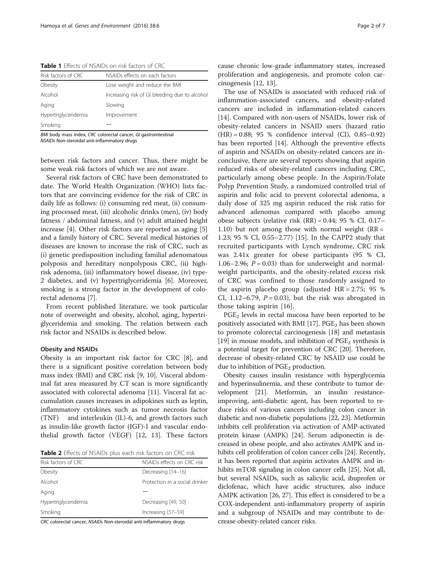<span id="page-1-0"></span>Table 1 Effects of NSAIDs on risk factors of CRC

| Risk factors of CRC  | NSAIDs effects on each factors                |
|----------------------|-----------------------------------------------|
| Obesity              | Lose weight and reduce the BMI                |
| Alcohol              | Increasing risk of GI bleeding due to alcohol |
| Aging                | Slowing                                       |
| Hypertriglyceridemia | Improvement                                   |
| Smoking              |                                               |

BMI body mass index, CRC colorectal cancer, GI gastrointestinal NSAIDs Non-steroidal anti-inflammatory drugs

between risk factors and cancer. Thus, there might be some weak risk factors of which we are not aware.

Several risk factors of CRC have been demonstrated to date. The World Health Organization (WHO) lists factors that are convincing evidence for the risk of CRC in daily life as follows: (i) consuming red meat, (ii) consuming processed meat, (iii) alcoholic drinks (men), (iv) body fatness / abdominal fatness, and (v) adult attained height increase [[4](#page-4-0)]. Other risk factors are reported as aging [\[5](#page-4-0)] and a family history of CRC. Several medical histories of diseases are known to increase the risk of CRC, such as (i) genetic predisposition including familial adenomatous polyposis and hereditary nonpolyposis CRC, (ii) highrisk adenoma, (iii) inflammatory bowel disease, (iv) type-2 diabetes, and (v) hypertriglyceridemia [\[6\]](#page-4-0). Moreover, smoking is a strong factor in the development of colorectal adenoma [[7](#page-4-0)].

From recent published literature, we took particular note of overweight and obesity, alcohol, aging, hypertriglyceridemia and smoking. The relation between each risk factor and NSAIDs is described below.

# Obesity and NSAIDs

Obesity is an important risk factor for CRC [[8\]](#page-4-0), and there is a significant positive correlation between body mass index (BMI) and CRC risk [[9, 10\]](#page-4-0). Visceral abdominal fat area measured by CT scan is more significantly associated with colorectal adenoma [[11\]](#page-4-0). Visceral fat accumulation causes increases in adipokines such as leptin, inflammatory cytokines such as tumor necrosis factor (TNF)  $\alpha$  and interleukin (IL)-6, and growth factors such as insulin-like growth factor (IGF)-I and vascular endothelial growth factor (VEGF) [\[12, 13](#page-4-0)]. These factors

Table 2 Effects of NSAIDs plus each risk factors on CRC risk

| Risk factors of CRC  | NSAIDs effects on CRC risk     |  |
|----------------------|--------------------------------|--|
| Obesity              | Decreasing [14-16]             |  |
| Alcohol              | Protection in a social drinker |  |
| Aging                |                                |  |
| Hypertriglyceridemia | Decreasing [49, 50]            |  |
| Smoking              | Increasing [57-59]             |  |
| .                    |                                |  |

CRC colorectal cancer, NSAIDs Non-steroidal anti-inflammatory drugs

cause chronic low-grade inflammatory states, increased proliferation and angiogenesis, and promote colon carcinogenesis [\[12](#page-4-0), [13](#page-4-0)].

The use of NSAIDs is associated with reduced risk of inflammation-associated cancers, and obesity-related cancers are included in inflammation-related cancers [[14\]](#page-4-0). Compared with non-users of NSAIDs, lower risk of obesity-related cancers in NSAID users (hazard ratio (HR) = 0.88; 95 % confidence interval (CI), 0.85–0.92) has been reported [[14\]](#page-4-0). Although the preventive effects of aspirin and NSAIDs on obesity-related cancers are inconclusive, there are several reports showing that aspirin reduced risks of obesity-related cancers including CRC, particularly among obese people. In the Aspirin/Folate Polyp Prevention Study, a randomized controlled trial of aspirin and folic acid to prevent colorectal adenoma, a daily dose of 325 mg aspirin reduced the risk ratio for advanced adenomas compared with placebo among obese subjects (relative risk  $(RR) = 0.44$ ; 95 % CI, 0.17– 1.10) but not among those with normal weight  $(RR =$ 1.23; 95 % CI, 0.55–2.77) [\[15](#page-5-0)]. In the CAPP2 study that recruited participants with Lynch syndrome, CRC risk was 2.41x greater for obese participants (95 % CI, 1.06–2.96;  $P = 0.03$ ) than for underweight and normalweight participants, and the obesity-related excess risk of CRC was confined to those randomly assigned to the aspirin placebo group (adjusted HR = 2.75; 95 % CI, 1.12–6.79,  $P = 0.03$ ), but the risk was abrogated in those taking aspirin [[16](#page-5-0)].

 $PGE<sub>2</sub>$  levels in rectal mucosa have been reported to be positively associated with BMI  $[17]$  $[17]$ . PGE<sub>2</sub> has been shown to promote colorectal carcinogenesis [\[18](#page-5-0)] and metastasis [[19](#page-5-0)] in mouse models, and inhibition of  $PGE<sub>2</sub>$  synthesis is a potential target for prevention of CRC [\[20\]](#page-5-0). Therefore, decrease of obesity-related CRC by NSAID use could be due to inhibition of  $PGE<sub>2</sub>$  production.

Obesity causes insulin resistance with hyperglycemia and hyperinsulinemia, and these contribute to tumor development [[21](#page-5-0)]. Metformin, an insulin resistanceimproving, anti-diabetic agent, has been reported to reduce risks of various cancers including colon cancer in diabetic and non-diabetic populations [[22](#page-5-0), [23\]](#page-5-0). Metformin inhibits cell proliferation via activation of AMP-activated protein kinase (AMPK) [\[24\]](#page-5-0). Serum adiponectin is decreased in obese people, and also activates AMPK and inhibits cell proliferation of colon cancer cells [[24](#page-5-0)]. Recently, it has been reported that aspirin activates AMPK and in-hibits mTOR signaling in colon cancer cells [\[25\]](#page-5-0). Not all, but several NSAIDs, such as salicylic acid, ibuprofen or diclofenac, which have acidic structures, also induce AMPK activation [[26, 27\]](#page-5-0). This effect is considered to be a COX-independent anti-inflammatory property of aspirin and a subgroup of NSAIDs and may contribute to decrease obesity-related cancer risks.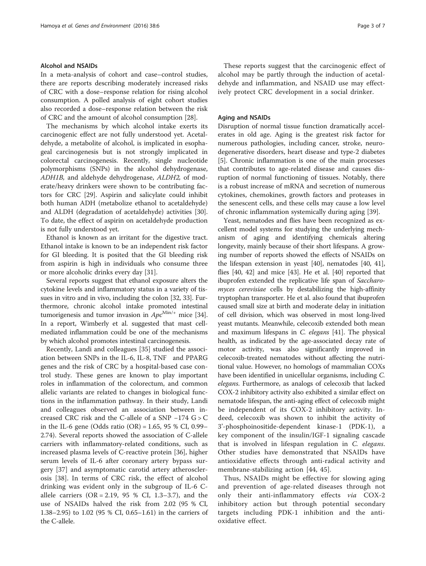# Alcohol and NSAIDs

In a meta-analysis of cohort and case–control studies, there are reports describing moderately increased risks of CRC with a dose–response relation for rising alcohol consumption. A polled analysis of eight cohort studies also recorded a dose–response relation between the risk of CRC and the amount of alcohol consumption [\[28](#page-5-0)].

The mechanisms by which alcohol intake exerts its carcinogenic effect are not fully understood yet. Acetaldehyde, a metabolite of alcohol, is implicated in esophageal carcinogenesis but is not strongly implicated in colorectal carcinogenesis. Recently, single nucleotide polymorphisms (SNPs) in the alcohol dehydrogenase, ADH1B, and aldehyde dehydrogenase, ALDH2, of moderate/heavy drinkers were shown to be contributing factors for CRC [[29](#page-5-0)]. Aspirin and salicylate could inhibit both human ADH (metabolize ethanol to acetaldehyde) and ALDH (degradation of acetaldehyde) activities [\[30](#page-5-0)]. To date, the effect of aspirin on acetaldehyde production is not fully understood yet.

Ethanol is known as an irritant for the digestive tract. Ethanol intake is known to be an independent risk factor for GI bleeding. It is posited that the GI bleeding risk from aspirin is high in individuals who consume three or more alcoholic drinks every day [\[31](#page-5-0)].

Several reports suggest that ethanol exposure alters the cytokine levels and inflammatory status in a variety of tissues in vitro and in vivo, including the colon [\[32, 33](#page-5-0)]. Furthermore, chronic alcohol intake promoted intestinal tumorigenesis and tumor invasion in  $Apc^{\text{Min}/+}$  mice [[34](#page-5-0)]. In a report, Wimberly et al. suggested that mast cellmediated inflammation could be one of the mechanisms by which alcohol promotes intestinal carcinogenesis.

Recently, Landi and colleagues [[35](#page-5-0)] studied the association between SNPs in the IL-6, IL-8, TNFα and PPARG genes and the risk of CRC by a hospital-based case control study. These genes are known to play important roles in inflammation of the colorectum, and common allelic variants are related to changes in biological functions in the inflammation pathway. In their study, Landi and colleagues observed an association between increased CRC risk and the C-allele of a SNP −174 G > C in the IL-6 gene (Odds ratio  $(OR) = 1.65$ , 95 % CI, 0.99– 2.74). Several reports showed the association of C-allele carriers with inflammatory-related conditions, such as increased plasma levels of C-reactive protein [\[36](#page-5-0)], higher serum levels of IL-6 after coronary artery bypass surgery [\[37](#page-5-0)] and asymptomatic carotid artery atherosclerosis [\[38](#page-5-0)]. In terms of CRC risk, the effect of alcohol drinking was evident only in the subgroup of IL-6 Callele carriers  $(OR = 2.19, 95 % CI, 1.3–3.7)$ , and the use of NSAIDs halved the risk from 2.02 (95 % CI, 1.38–2.95) to 1.02 (95 % CI, 0.65–1.61) in the carriers of the C-allele.

These reports suggest that the carcinogenic effect of alcohol may be partly through the induction of acetaldehyde and inflammation, and NSAID use may effectively protect CRC development in a social drinker.

# Aging and NSAIDs

Disruption of normal tissue function dramatically accelerates in old age. Aging is the greatest risk factor for numerous pathologies, including cancer, stroke, neurodegenerative disorders, heart disease and type-2 diabetes [[5\]](#page-4-0). Chronic inflammation is one of the main processes that contributes to age-related disease and causes disruption of normal functioning of tissues. Notably, there is a robust increase of mRNA and secretion of numerous cytokines, chemokines, growth factors and proteases in the senescent cells, and these cells may cause a low level of chronic inflammation systemically during aging [\[39](#page-5-0)].

Yeast, nematodes and flies have been recognized as excellent model systems for studying the underlying mechanism of aging and identifying chemicals altering longevity, mainly because of their short lifespans. A growing number of reports showed the effects of NSAIDs on the lifespan extension in yeast [\[40\]](#page-5-0), nematodes [[40](#page-5-0), [41](#page-5-0)], flies [[40](#page-5-0), [42](#page-5-0)] and mice [\[43](#page-5-0)]. He et al. [[40](#page-5-0)] reported that ibuprofen extended the replicative life span of Saccharomyces cerevisiae cells by destabilizing the high-affinity tryptophan transporter. He et al. also found that ibuprofen caused small size at birth and moderate delay in initiation of cell division, which was observed in most long-lived yeast mutants. Meanwhile, celecoxib extended both mean and maximum lifespans in C. elegans [[41](#page-5-0)]. The physical health, as indicated by the age-associated decay rate of motor activity, was also significantly improved in celecoxib-treated nematodes without affecting the nutritional value. However, no homologs of mammalian COXs have been identified in unicellular organisms, including C. elegans. Furthermore, as analogs of celecoxib that lacked COX-2 inhibitory activity also exhibited a similar effect on nematode lifespan, the anti-aging effect of celecoxib might be independent of its COX-2 inhibitory activity. Indeed, celecoxib was shown to inhibit the activity of 3'-phosphoinositide-dependent kinase-1 (PDK-1), a key component of the insulin/IGF-1 signaling cascade that is involved in lifespan regulation in C. elegans. Other studies have demonstrated that NSAIDs have antioxidative effects through anti-radical activity and membrane-stabilizing action [[44, 45\]](#page-5-0).

Thus, NSAIDs might be effective for slowing aging and prevention of age-related diseases through not only their anti-inflammatory effects via COX-2 inhibitory action but through potential secondary targets including PDK-1 inhibition and the antioxidative effect.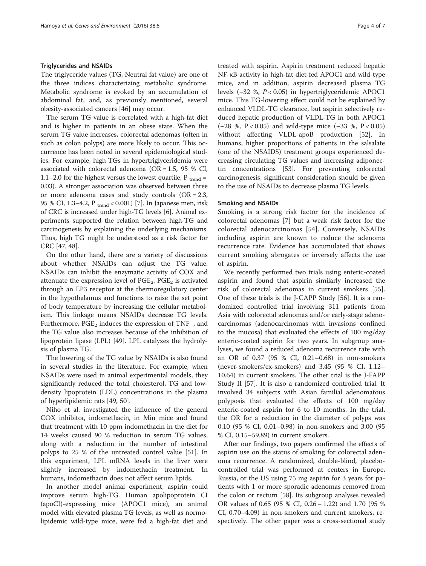# Triglycerides and NSAIDs

The triglyceride values (TG, Neutral fat value) are one of the three indices characterizing metabolic syndrome. Metabolic syndrome is evoked by an accumulation of abdominal fat, and, as previously mentioned, several obesity-associated cancers [[46](#page-5-0)] may occur.

The serum TG value is correlated with a high-fat diet and is higher in patients in an obese state. When the serum TG value increases, colorectal adenomas (often in such as colon polyps) are more likely to occur. This occurrence has been noted in several epidemiological studies. For example, high TGs in hypertriglyceridemia were associated with colorectal adenoma (OR =  $1.5$ ,  $95$  % CI, 1.1–2.0 for the highest versus the lowest quartile,  $P_{trend}$  = 0.03). A stronger association was observed between three or more adenoma cases and study controls (OR = 2.3, 95 % CI, 1.3–4.2, P  $_{trend}$  < 0.001) [[7](#page-4-0)]. In Japanese men, risk of CRC is increased under high-TG levels [\[6\]](#page-4-0). Animal experiments supported the relation between high-TG and carcinogenesis by explaining the underlying mechanisms. Thus, high TG might be understood as a risk factor for CRC [\[47](#page-5-0), [48](#page-5-0)].

On the other hand, there are a variety of discussions about whether NSAIDs can adjust the TG value. NSAIDs can inhibit the enzymatic activity of COX and attenuate the expression level of  $PGE_2$ .  $PGE_2$  is activated through an EP3 receptor at the thermoregulatory center in the hypothalamus and functions to raise the set point of body temperature by increasing the cellular metabolism. This linkage means NSAIDs decrease TG levels. Furthermore,  $PGE_2$  induces the expression of TNF $\alpha$ , and the TG value also increases because of the inhibition of lipoprotein lipase (LPL) [[49](#page-5-0)]. LPL catalyzes the hydrolysis of plasma TG.

The lowering of the TG value by NSAIDs is also found in several studies in the literature. For example, when NSAIDs were used in animal experimental models, they significantly reduced the total cholesterol, TG and lowdensity lipoprotein (LDL) concentrations in the plasma of hyperlipidemic rats [[49](#page-5-0), [50](#page-5-0)].

Niho et al. investigated the influence of the general COX inhibitor, indomethacin, in Min mice and found that treatment with 10 ppm indomethacin in the diet for 14 weeks caused 90 % reduction in serum TG values, along with a reduction in the number of intestinal polyps to 25 % of the untreated control value [\[51\]](#page-5-0). In this experiment, LPL mRNA levels in the liver were slightly increased by indomethacin treatment. In humans, indomethacin does not affect serum lipids.

In another model animal experiment, aspirin could improve serum high-TG. Human apolipoprotein CI (apoCI)-expressing mice (APOC1 mice), an animal model with elevated plasma TG levels, as well as normolipidemic wild-type mice, were fed a high-fat diet and

treated with aspirin. Aspirin treatment reduced hepatic NF-κB activity in high-fat diet-fed APOC1 and wild-type mice, and in addition, aspirin decreased plasma TG levels (−32 %, P < 0.05) in hypertriglyceridemic APOC1 mice. This TG-lowering effect could not be explained by enhanced VLDL-TG clearance, but aspirin selectively reduced hepatic production of VLDL-TG in both APOC1 (−28 %, P < 0.05) and wild-type mice (−33 %, P < 0.05) without affecting VLDL-apoB production [\[52](#page-5-0)]. In humans, higher proportions of patients in the salsalate (one of the NSAIDS) treatment groups experienced decreasing circulating TG values and increasing adiponectin concentrations [\[53\]](#page-5-0). For preventing colorectal carcinogenesis, significant consideration should be given to the use of NSAIDs to decrease plasma TG levels.

# Smoking and NSAIDs

Smoking is a strong risk factor for the incidence of colorectal adenomas [\[7\]](#page-4-0) but a weak risk factor for the colorectal adenocarcinomas [[54\]](#page-5-0). Conversely, NSAIDs including aspirin are known to reduce the adenoma recurrence rate. Evidence has accumulated that shows current smoking abrogates or inversely affects the use of aspirin.

We recently performed two trials using enteric-coated aspirin and found that aspirin similarly increased the risk of colorectal adenomas in current smokers [\[55](#page-5-0)]. One of these trials is the J-CAPP Study [[56](#page-5-0)]. It is a randomized controlled trial involving 311 patients from Asia with colorectal adenomas and/or early-stage adenocarcinomas (adenocarcinomas with invasions confined to the mucosa) that evaluated the effects of 100 mg/day enteric-coated aspirin for two years. In subgroup analyses, we found a reduced adenoma recurrence rate with an OR of 0.37 (95 % CI, 0.21–0.68) in non-smokers (never-smokers/ex-smokers) and 3.45 (95 % CI, 1.12– 10.64) in current smokers. The other trial is the J-FAPP Study II [\[57\]](#page-5-0). It is also a randomized controlled trial. It involved 34 subjects with Asian familial adenomatous polyposis that evaluated the effects of 100 mg/day enteric-coated aspirin for 6 to 10 months. In the trial, the OR for a reduction in the diameter of polyps was 0.10 (95 % CI, 0.01–0.98) in non-smokers and 3.00 (95 % CI, 0.15–59.89) in current smokers.

After our findings, two papers confirmed the effects of aspirin use on the status of smoking for colorectal adenoma recurrence. A randomized, double-blind, placebocontrolled trial was performed at centers in Europe, Russia, or the US using 75 mg aspirin for 3 years for patients with 1 or more sporadic adenomas removed from the colon or rectum [[58\]](#page-5-0). Its subgroup analyses revealed OR values of 0.65 (95 % CI, 0.26 − 1.22) and 1.70 (95 % CI, 0.70–4.09) in non-smokers and current smokers, respectively. The other paper was a cross-sectional study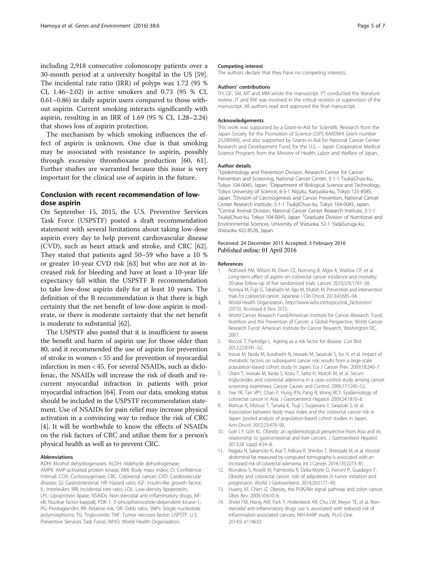<span id="page-4-0"></span>including 2,918 consecutive colonoscopy patients over a 30-month period at a university hospital in the US [\[59](#page--1-0)]. The incidental rate ratio (IRR) of polyps was 1.72 (95 % CI, 1.46–2.02) in active smokers and 0.73 (95 % CI, 0.61–0.86) in daily aspirin users compared to those without aspirin. Current smoking interacts significantly with aspirin, resulting in an IRR of 1.69 (95 % CI, 1.28–2.24) that shows loss of aspirin protection.

The mechanism by which smoking influences the effect of aspirin is unknown. One clue is that smoking may be associated with resistance to aspirin, possibly through excessive thromboxane production [[60](#page--1-0), [61](#page--1-0)]. Further studies are warranted because this issue is very important for the clinical use of aspirin in the future.

# Conclusion with recent recommendation of lowdose aspirin

On September 15, 2015, the U.S. Preventive Services Task Force (USPSTF) posted a draft recommendation statement with several limitations about taking low-dose aspirin every day to help prevent cardiovascular disease (CVD), such as heart attack and stroke, and CRC [\[62](#page--1-0)]. They stated that patients aged 50–59 who have a 10 % or greater 10-year CVD risk [[63](#page--1-0)] but who are not at increased risk for bleeding and have at least a 10-year life expectancy fall within the USPSTF B recommendation to take low-dose aspirin daily for at least 10 years. The definition of the B recommendation is that there is high certainty that the net benefit of low-dose aspirin is moderate, or there is moderate certainty that the net benefit is moderate to substantial [\[62](#page--1-0)].

The USPSTF also posted that it is insufficient to assess the benefit and harm of aspirin use for those older than 80, and it recommended the use of aspirin for prevention of stroke in women < 55 and for prevention of myocardial infarction in men < 45. For several NSAIDs, such as diclofenac, the NSAIDs will increase the risk of death and recurrent myocardial infraction in patients with prior myocardial infraction [[64](#page--1-0)]. From our data, smoking status should be included in the USPSTF recommendation statement. Use of NSAIDs for pain relief may increase physical activation in a convincing way to reduce the risk of CRC [4]. It will be worthwhile to know the effects of NSAIDs on the risk factors of CRC and utilize them for a person's physical health as well as to prevent CRC.

# Abbreviations

ADH: Alcohol dehydrogenases; ALDH: Aldehyde dehydrogenase; AMPK: AMP-activated protein kinase; BMI: Body mass index; CI: Confidence interval; COX: Cyclooxygenase; CRC: Colorectal cancer; CVD: Cardiovascular disease; GI: Gastrointestinal; HR: Hazard ratio; IGF: Insulin-like growth factor; IL: Interleukin; IRR: Incidental rate ratio; LDL: Low-density lipoprotein; LPL: Lipoprotein lipase; NSAIDs: Non-steroidal anti-inflammatory drugs; NFκB: Nuclear factor-kappaB; PDK-1: 3'-phosphoinositide-dependent kinase-1; PG: Prostaglandin; RR: Relative risk; OR: Odds ratio; SNPs: Single nucleotide polymorphisms; TG: Triglyceride; TNF: Tumor necrosis factor; USPSTF: U.S. Preventive Services Task Force; WHO: World Health Organization.

#### Competing interest

The authors declare that they have no competing interests.

#### Authors' contributions

TH, GF, SM, MT and MM wrote the manuscript. YT conducted the literature review. JT and KW was involved in the critical revision or supervision of the manuscript. All authors read and approved the final manuscript.

### Acknowledgements

This work was supported by a Grant-in-Aid for Scientific Research from the Japan Society for the Promotion of Science (JSPS KAKENHI Grant number 25290049), and also supported by Grants-in-Aid for National Cancer Center Research and Development Fund, for the U.S. – Japan Cooperative Medical Science Program, from the Ministry of Health, Labor and Welfare of Japan.

#### Author details

<sup>1</sup> Epidemiology and Prevention Division, Research Center for Cancer Prevention and Screening, National Cancer Center, 5-1-1 TsukijiChuo-ku, Tokyo 104-0045, Japan. <sup>2</sup> Department of Biological Science and Technology, Tokyo University of Science, 6-3-1 Niijuku, Katsusika-ku, Tokyo 125-8585, Japan. <sup>3</sup> Division of Carcinogenesis and Cancer Prevention, National Cancer Center Research Institute, 5-1-1 TsukijiChuo-ku, Tokyo 104-0045, Japan. 4 Central Animal Division, National Cancer Center Research Institute, 5-1-1 TsukijiChuo-ku, Tokyo 104-0045, Japan. <sup>5</sup>Graduate Division of Nutritional and Environmental Sciences, University of Shizuoka, 52-1 YadaSuruga-ku, Shizuoka 422-8526, Japan.

# Received: 24 December 2015 Accepted: 3 February 2016 Published online: 01 April 2016

#### References

- Rothwell PM, Wilson M, Elwin CE, Norrving B, Algra A, Warlow CP, et al. Long-term effect of aspirin on colorectal cancer incidence and mortality: 20-year follow-up of five randomised trials. Lancet. 2010;376:1741–50.
- 2. Komiya M, Fujii G, Takahashi M, Iigo M, Mutoh M. Prevention and intervention trials for colorectal cancer. Japanese J Clin Oncol. 2013;43:685–94.
- 3. World Health Organization. [http://www.who.int/topics/risk\\_factors/en/](http://www.who.int/topics/risk_factors/en/) (2015). Accessed 6 Nov 2015.
- 4. World Cancer Research Fund/American Institute for Cancer Research. Food, Nutrition and the Prevention of Cancer: a Global Perspective, World Cancer Research Fund/ American Institute for Cancer Research, Washington DC, 2007.
- 5. Niccoli T, Partridge L. Ageing as a risk factor for disease. Curr Biol. 2012;22:R741–52.
- 6. Inoue M, Noda M, Kurahashi N, Iwasaki M, Sasazuki S, Iso H, et al. Impact of metabolic factors on subsequent cancer risk: results from a large-scale population-based cohort study in Japan. Eur J Cancer Prev. 2009;18:240–7.
- 7. Otani T, Iwasaki M, Ikeda S, Kozu T, Saito H, Mutoh M, et al. Serum triglycerides and colorectal adenoma in a case–control study among cancer screening examinees. Cancer Causes and Control. 2006;17:1245–52.
- 8. Yee YK, Tan VPY, Chan P, Hung IFN, Pang R, Wong BCY. Epidemiology of colorectal cancer in Asia. J Gastroenterol Hepatol. 2009;24:1810–6.
- 9. Matsuo K, Mizoue T, Tanaka K, Tsuji I, Sugawara Y, Sasazuki S, et al. Association between body mass index and the colorectal cancer risk in Japan: pooled analysis of population-based cohort studies in Japan. Ann Oncol. 2012;23:479–90.
- 10. Goh LY, Goh KL. Obesity: an epidemiological perspective from Asia and its relationship to gastrointestinal and liver cancers. J Gastroenterol Hepatol. 2013;28 Suppl 4:54–8.
- 11. Nagata N, Sakamoto K, Arai T, Niikura R, Shimbo T, Shinozaki M, et al. Visceral abdominal fat measured by computed tomography is associated with an increased risk of colorectal adenoma. Int J Cancer. 2014;135:2273–81.
- 12. Riondino S, Roselli M, Palmirotta R, Della-Morte D, Ferroni P, Guadagni F. Obesity and colorectal cancer: role of adipokines in tumor initiation and progression. World J Gastroenterol. 2014;20:5177–90.
- 13. Huang XF, Chen JZ. Obesity, the PI3K/Akt signal pathway and colon cancer. Obes Rev. 2009;10:610–6.
- 14. Shebl FM, Hsing AW, Park Y, Hollenbeck AR, Chu LW, Meyer TE, et al. Nonsteroidal anti-inflammatory drugs use is associated with reduced risk of inflammation-associated cancers: NIH-AARP study. PLoS One. 2014;9, e114633.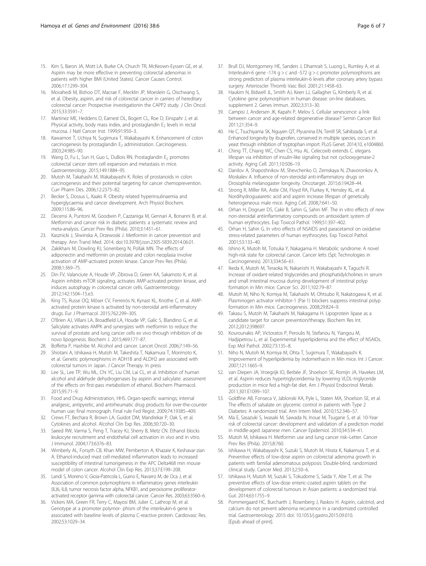- <span id="page-5-0"></span>15. Kim S, Baron JA, Mott LA, Burke CA, Church TR, McKeown-Eyssen GE, et al. Aspirin may be more effective in preventing colorectal adenomas in patients with higher BMI (United States). Cancer Causes Control. 2006;17:1299–304.
- 16. Movahedi M, Bishoo DT, Macrae F, Mecklin JP, Moeslein G, Oischwang S, et al. Obesity, aspirin, and risk of colorectal cancer in carriers of hereditary colorectal cancer: Prospective investigationin the CAPP2 study. J Clin Oncol. 2015;33:3591–7.
- 17. Martinez ME, Heddens D, Earnest DL, Bogert CL, Roe D, Einspahr J, et al. Physical activity, body mass index, and prostaglandin  $E_2$  levels in rectal mucosa. J Natl Cancer Inst. 1999;91:950–3.
- 18. Kawamori T, Uchiya N, Sugimura T, Wakabayashi K. Enhancement of colon carcinogenesis by prostaglandin E<sub>2</sub> administration. Carcinogenesis. 2003;24:985–90.
- 19. Wang D, Fu L, Sun H, Guo L, DuBois RN. Prostaglandin E<sub>2</sub> promotes colorectal cancer stem cell expansion and metastasis in mice. Gastroenterology. 2015;149:1884–95.
- 20. Mutoh M, Takahashi M, Wakabayashi K. Roles of prostanoids in colon carcinogenesis and their potential targeting for cancer chemoprevention. Curr Pharm Des. 2006;12:2375–82.
- 21. Becker S, Dossus L, Kaaks R. Obesity related hyperinsulinaemia and hyperglycaemia and cancer development. Arch Physiol Biochem. 2009;115:86–96.
- 22. Decensi A, Puntoni M, Goodwin P, Cazzaniga M, Gennari A, Bonanni B, et al. Metformin and cancer risk in diabetic patients: a systematic review and meta-analysis. Cancer Prev Res (Phila). 2010;3:1451–61.
- 23. Kasznicki J, Sliwinska A, Drzewoski J. Metformin in cancer prevention and therapy. Ann Transl Med. 2014. doi[:10.3978/j.issn.2305-5839.2014.06.01.](http://dx.doi.org/10.3978/j.issn.2305-5839.2014.06.01)
- 24. Zakikhani M, Dowling RJ, Sonenberg N, Pollak MN. The effects of adiponectin and metformin on prostate and colon neoplasia involve activation of AMP-activated protein kinase. Cancer Prev Res (Phila). 2008;1:369–75.
- 25. Din FV, Valanciute A, Houde VP, Zibrova D, Green KA, Sakamoto K, et al. Aspirin inhibits mTOR signaling, activates AMP-activated protein kinase, and induces autophagy in colorectal cancer cells. Gastroenterology. 2012;142:1504–15.e3.
- 26. King TS, Russe OQ, Möser CV, Ferreirós N, Kynast KL, Knothe C, et al. AMPactivated protein kinase is activated by non-steroidal anti-inflammatory drugs. Eur J Pharmacol. 2015;762:299–305.
- 27. O'Brien AJ, Villani LA, Broadfield LA, Houde VP, Galic S, Blandino G, et al. Salicylate activates AMPK and synergizes with metformin to reduce the survival of prostate and lung cancer cells ex vivo through inhibition of de novo lipogenesis. Biochem J. 2015;469:177–87.
- 28. Boffetta P, Hashibe M. Alcohol and cancer. Lancet Oncol. 2006;7:149–56.
- 29. Shiotani A, Ishikawa H, Mutoh M, Takeshita T, Nakamura T, Morimoto K, et al. Genetic polymorphisms in ADH1B and ALDH2 are associated with colorectal tumors in Japan. J Cancer Therapy. In press
- 30. Lee SL, Lee TP, Wu ML, Chi YC, Liu CM, Lai CL, et al. Inhibition of human alcohol and aldehyde dehydrogenases by aspirin and salicylate: assessment of the effects on first-pass metabolism of ethanol. Biochem Pharmacol. 2015;95:71–9.
- 31. Food and Drug Administration, HHS. Organ-specific warnings; internal analgesic, antipyretic, and antirheumatic drug products for over-the-counter human use; final monograph. Final rule Fed Regist. 2009;74:19385–409.
- 32. Crews FT, Bechara R, Brown LA, Guidot DM, Mandrekar P, Oak S, et al. Cytokines and alcohol. Alcohol Clin Exp Res. 2006;30:720–30.
- 33. Saeed RW, Varma S, Peng T, Tracey KJ, Sherry B, Metz CN. Ethanol blocks leukocyte recruitment and endothelial cell activation in vivo and in vitro. J Immunol. 2004;173:6376–83.
- 34. Wimberly AL, Forsyth CB, Khan MW, Pemberton A, Khazaie K, Keshavar-zian A. Ethanol-induced mast cell-mediated inflammation leads to increased susceptibility of intestinal tumorigenesis in the APC Delta468 min mouse model of colon cancer. Alcohol Clin Exp Res. 2013;37:E199–208.
- 35. Landi S, Moreno V, Gioia-Patricola L, Guino E, Navarro M, de Oca J, et al. Association of common polymorphisms in inflammatory genes interleukin (IL)6, IL8, tumor necrosis factor alpha, NFKB1, and peroxisome proliferatoractivated receptor gamma with colorectal cancer. Cancer Res. 2003;63:3560–6.
- 36. Vickers MA, Green FR, Terry C, Mayosi BM, Julier C, Lathrop M, et al. Genotype at a promoter polymor- phism of the interleukin-6 gene is associated with baseline levels of plasma C-reactive protein. Cardiovasc Res. 2002;53:1029–34.
- 37. Brull DJ, Montgomery HE, Sanders J, Dhamrait S, Luong L, Rumley A, et al. Interleukin-6 gene -174 g > c and -572 g > c promoter polymorphisms are strong predictors of plasma interleukin-6 levels after coronary artery bypass surgery. Arterioscler Thromb Vasc Biol. 2001;21:1458–63.
- 38. Haukim N, Bidwell JL, Smith AJ, Keen LJ, Gallagher G, Kimberly R, et al. Cytokine gene polymorphism in human disease: on-line databases, supplement 2. Genes Immun. 2002;3:313–30.
- 39. Campisi J, Andersen JK, Kapahi P, Melov S. Cellular senescence: a link between cancer and age-related degenerative disease? Semin Cancer Biol. 2011;21:354–9.
- 40. He C, Tsuchiyama SK, Nguyen QT, Plyusnina EN, Terrill SR, Sahibzada S, et al. Enhanced longevity by ibuprofen, conserved in multiple species, occurs in yeast through inhibition of tryptophan import. PLoS Genet. 2014;10, e1004860.
- 41. Ching TT, Chiang WC, Chen CS, Hsu AL. Celecoxib extends C. elegans lifespan via inhibition of insulin-like signaling but not cyclooxygenase-2 activity. Aging Cell. 2011;10:506–19.
- 42. Danilov A, Shaposhnikov M, Shevchenko O, Zemskaya N, Zhavoronkov A, Moskalev A. Influence of non-steroidal anti-inflammatory drugs on Drosophila melanogaster longevity. Oncotarget. 2015;6:19428–44.
- 43. Strong R, Miller RA, Astle CM, Floyd RA, Flurkey K, Hensley KL, et al. Nordihydroguaiaretic acid and aspirin increase lifespan of genetically heterogeneous male mice. Aging Cell. 2008;7:641–50.
- 44. Orhan H, Dogruer DS, Cakir B, Sahin G, Sahin MF. The in vitro effects of new non-steroidal antiinflammatory compounds on antioxidant system of human erythrocytes. Exp Toxicol Pathol. 1999;51:397–402.
- 45. Orhan H, Sahin G. In vitro effects of NSAIDS and paracetamol on oxidative stress-related parameters of human erythrocytes. Exp Toxicol Pathol. 2001;53:133–40.
- 46. Ishino K, Mutoh M, Totsuka Y, Nakagama H. Metabolic syndrome: A novel high-risk state for colorectal cancer. Cancer letts (SpI; Technologies in Carcinogenesis). 2013;334:56–61.
- 47. Ikeda K, Mutoh M, Teraoka N, Nakanishi H, Wakabayashi K, Taguchi R. Increase of oxidant-related triglycerides and phosphatidylcholines in serum and small intestinal mucosa during development of intestinal polyp formation in Min mice. Cancer Sci. 2011;102:79–87.
- 48. Mutoh M, Niho N, Komiya M, Takahashi M, Ohtsubo R, Nakatogawa K, et al. Plasminogen activator inhibitor-1 (Pai-1) blockers suppress intestinal polyp formation in Min mice. Carcinogenesis. 2008;29:824–9.
- 49. Takasu S, Mutoh M, Takahashi M, Nakagama H. Lipoprotein lipase as a candidate target for cancer prevention/therapy. Biochem Res Int. 2012;2012:398697.
- 50. Kourounakis AP, Victoratos P, Peroulis N, Stefanou N, Yiangou M, Hadjipetrou L, et al. Experimental hyperlipidemia and the effect of NSAIDs. Exp Mol Pathol. 2002;73:135–8.
- 51. Niho N, Mutoh M, Komiya M, Ohta T, Sugimura T, Wakabayashi K. Improvement of hyperlipidemia by indomethacin in Min mice. Int J Cancer. 2007;121:1665–9.
- 52. van Diepen JA, Vroegrijk IO, Berbée JF, Shoelson SE, Romijn JA, Havekes LM, et al. Aspirin reduces hypertriglyceridemia by lowering VLDL-triglyceride production in mice fed a high-fat diet. Am J Physiol Endocrinol Metab. 2011;301:E1099–107.
- 53. Goldfine AB, Fonseca V, Jablonski KA, Pyle L, Staten MA, Shoelson SE, et al. The effects of salsalate on glycemic control in patients with Type 2 Diabetes: A randomized trial. Ann Intern Med. 2010;152:346–57.
- 54. Ma E, Sasazuki S, Iwasaki M, Sawada N, Inoue M, Tsugane S, et al. 10-Year risk of colorectal cancer: development and validation of a prediction model in middle-aged Japanese men. Cancer Epidemiol. 2010;34:534–41.
- 55. Mutoh M, Ishikawa H. Metformin use and lung cancer risk–Letter. Cancer Prev Res (Phila). 2015;8:760.
- 56. Ishikawa H, Wakabayashi K, Suzuki S, Mutoh M, Hirata K, Nakamura T, et al. Preventive effects of low-dose aspirin on colorectal adenoma growth in patients with familial adenomatous polyposis: Double-blind, randomized clinical study. Cancer Med. 2013;2:50–6.
- 57. Ishikawa H, Mutoh M, Suzuki S, Tokudome S, Saida Y, Abe T, et al. The preventive effects of low-dose enteric-coated aspirin tablets on the development of colorectal tumours in Asian patients: a randomized trial. Gut. 2014;63:1755–9.
- 58. Pommergaard HC, Burcharth J, Rosenberg J, Raskov H. Aspirin, calcitriol, and calcium do not prevent adenoma recurrence in a randomized controlled trial. Gastroenterology. 2015 doi: [10.1053/j.gastro.2015.09.010.](http://dx.doi.org/10.1053/j.gastro.2015.09.010) [Epub ahead of print].